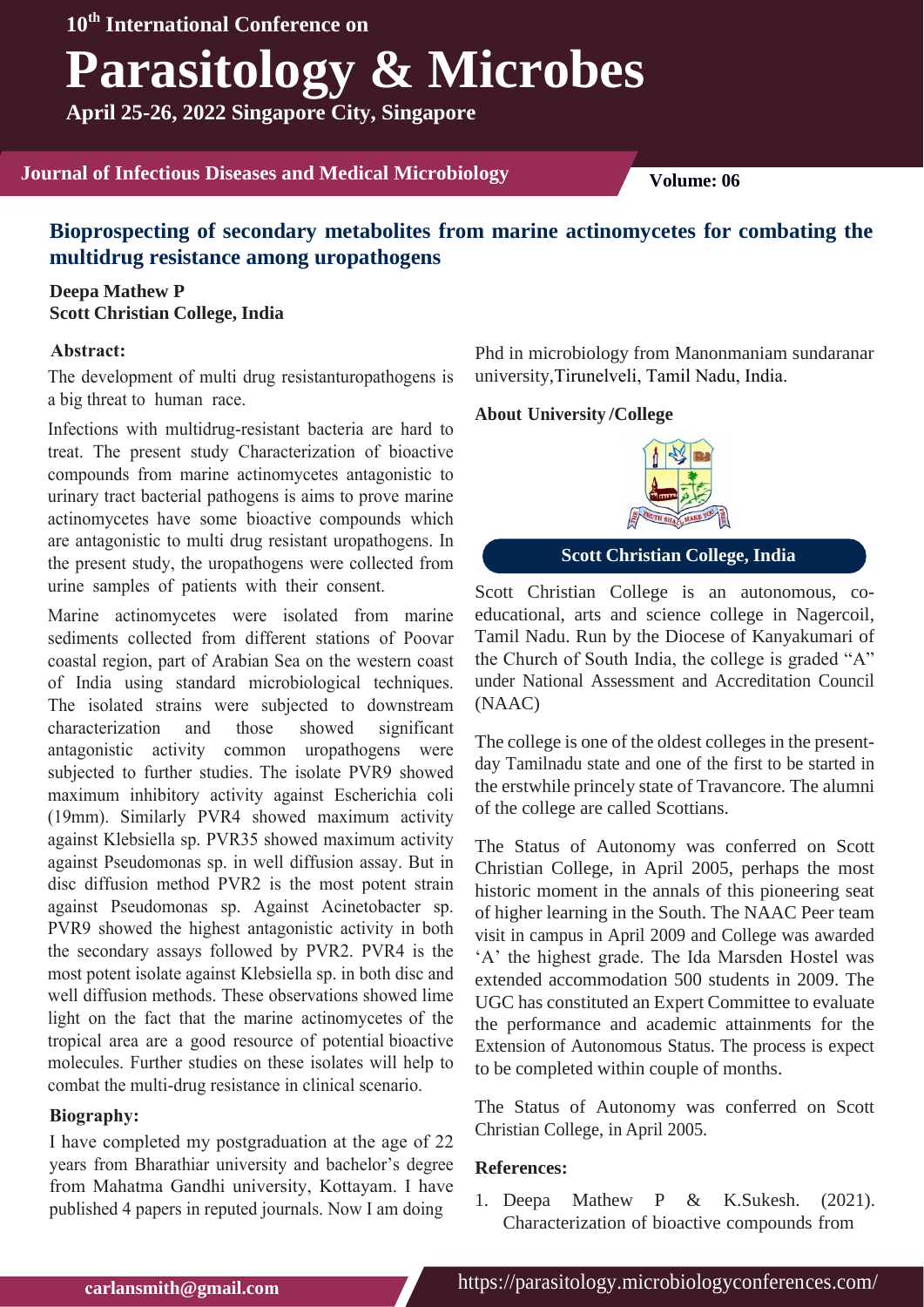# **Parasitology & Microbes**

**April 25-26, 2022 Singapore City, Singapore**

### **Journal of Infectious Diseases and Medical Microbiology <b>Volume:** 06

## **Bioprospecting of secondary metabolites from marine actinomycetes for combating the multidrug resistance among uropathogens**

**Deepa Mathew P Scott Christian College, India**

#### **Abstract:**

The development of multi drug resistanturopathogens is a big threat to human race.

Infections with multidrug-resistant bacteria are hard to treat. The present study Characterization of bioactive compounds from marine actinomycetes antagonistic to urinary tract bacterial pathogens is aims to prove marine actinomycetes have some bioactive compounds which are antagonistic to multi drug resistant uropathogens. In the present study, the uropathogens were collected from urine samples of patients with their consent.

Marine actinomycetes were isolated from marine sediments collected from different stations of Poovar coastal region, part of Arabian Sea on the western coast of India using standard microbiological techniques. The isolated strains were subjected to downstream characterization and those showed significant antagonistic activity common uropathogens were subjected to further studies. The isolate PVR9 showed maximum inhibitory activity against Escherichia coli (19mm). Similarly PVR4 showed maximum activity against Klebsiella sp. PVR35 showed maximum activity against Pseudomonas sp. in well diffusion assay. But in disc diffusion method PVR2 is the most potent strain against Pseudomonas sp. Against Acinetobacter sp. PVR9 showed the highest antagonistic activity in both the secondary assays followed by PVR2. PVR4 is the most potent isolate against Klebsiella sp. in both disc and well diffusion methods. These observations showed lime light on the fact that the marine actinomycetes of the tropical area are a good resource of potential bioactive molecules. Further studies on these isolates will help to combat the multi-drug resistance in clinical scenario.

#### **Biography:**

I have completed my postgraduation at the age of 22 years from Bharathiar university and bachelor's degree from Mahatma Gandhi university, Kottayam. I have published 4 papers in reputed journals. Now I am doing

Phd in microbiology from Manonmaniam sundaranar university,Tirunelveli, Tamil Nadu, India.

#### **/College About University**



**Scott Christian College, India**

Scott Christian College is an autonomous, coeducational, arts and science college in Nagercoil, Tamil Nadu. Run by the Diocese of Kanyakumari of the Church of South India, the college is graded "A" under National Assessment and Accreditation Council (NAAC)

The college is one of the oldest colleges in the presentday Tamilnadu state and one of the first to be started in the erstwhile princely state of Travancore. The alumni of the college are called Scottians.

The Status of Autonomy was conferred on Scott Christian College, in April 2005, perhaps the most historic moment in the annals of this pioneering seat of higher learning in the South. The NAAC Peer team visit in campus in April 2009 and College was awarded 'A' the highest grade. The Ida Marsden Hostel was extended accommodation 500 students in 2009. The UGC has constituted an Expert Committee to evaluate the performance and academic attainments for the Extension of Autonomous Status. The process is expect to be completed within couple of months.

The Status of Autonomy was conferred on Scott Christian College, in April 2005.

#### **References:**

1. [Deepa Mathew P & K.Sukesh. \(2021\).](https://www.ikprress.org/index.php/JOBARI/article/view/6843) [Characterization of bioactive compounds from](https://www.ikprress.org/index.php/JOBARI/article/view/6843)